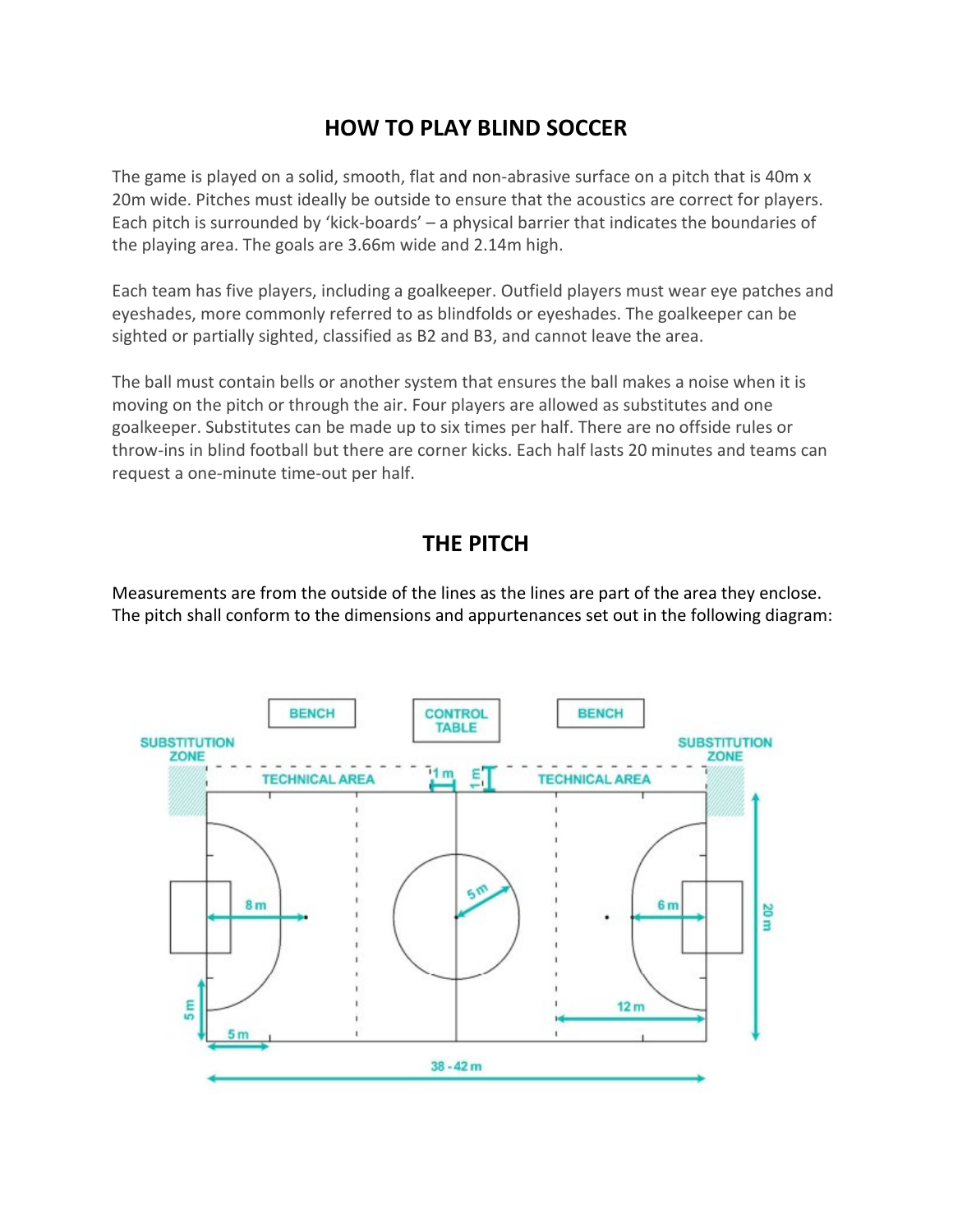## **HOW TO PLAY BLIND SOCCER**

The game is played on a solid, smooth, flat and non-abrasive surface on a pitch that is 40m x 20m wide. Pitches must ideally be outside to ensure that the acoustics are correct for players. Each pitch is surrounded by 'kick-boards' – a physical barrier that indicates the boundaries of the playing area. The goals are 3.66m wide and 2.14m high.

Each team has five players, including a goalkeeper. Outfield players must wear eye patches and eyeshades, more commonly referred to as blindfolds or eyeshades. The goalkeeper can be sighted or partially sighted, classified as B2 and B3, and cannot leave the area.

The ball must contain bells or another system that ensures the ball makes a noise when it is moving on the pitch or through the air. Four players are allowed as substitutes and one goalkeeper. Substitutes can be made up to six times per half. There are no offside rules or throw-ins in blind football but there are corner kicks. Each half lasts 20 minutes and teams can request a one-minute time-out per half.

## **THE PITCH**

Measurements are from the outside of the lines as the lines are part of the area they enclose. The pitch shall conform to the dimensions and appurtenances set out in the following diagram:

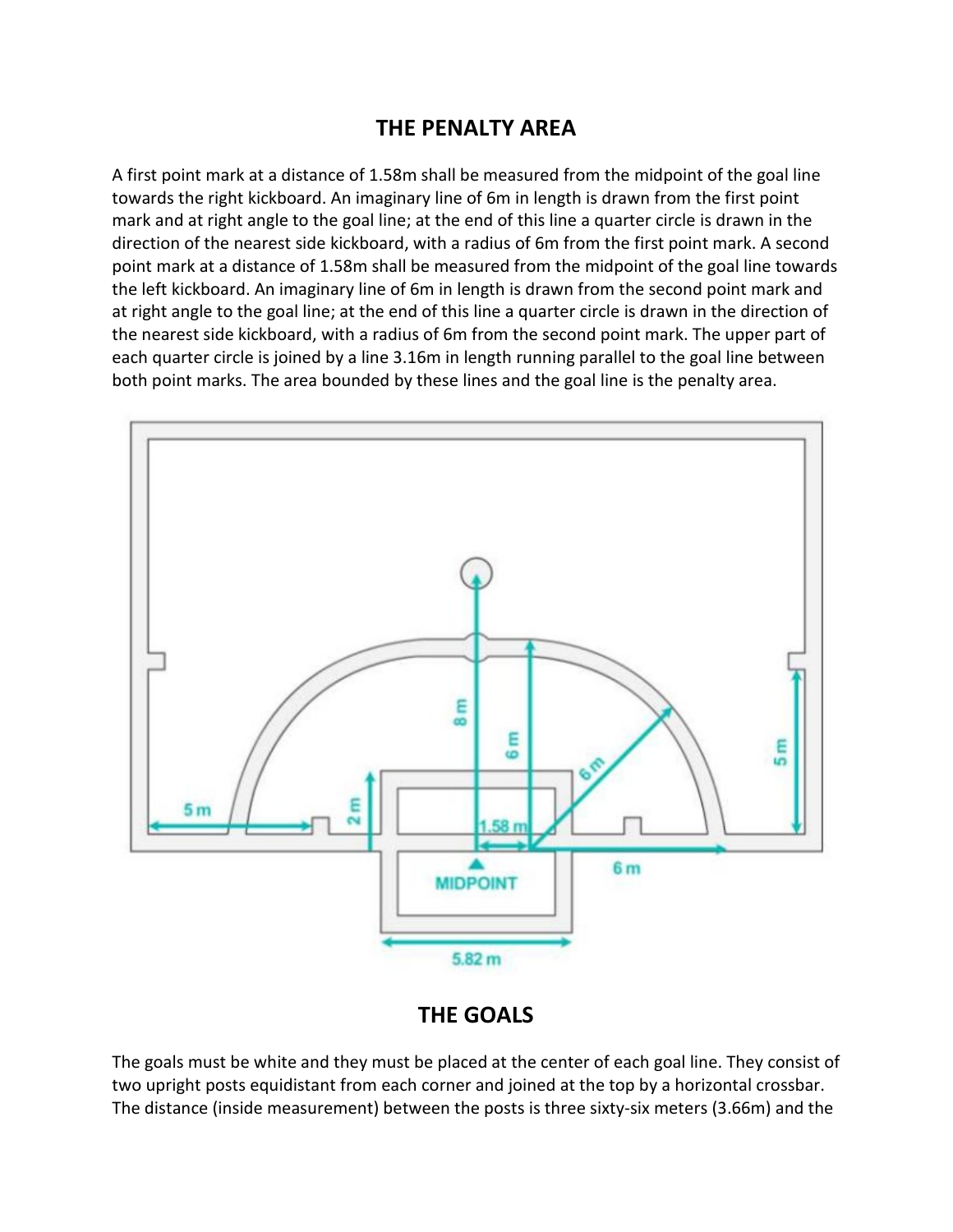## **THE PENALTY AREA**

A first point mark at a distance of 1.58m shall be measured from the midpoint of the goal line towards the right kickboard. An imaginary line of 6m in length is drawn from the first point mark and at right angle to the goal line; at the end of this line a quarter circle is drawn in the direction of the nearest side kickboard, with a radius of 6m from the first point mark. A second point mark at a distance of 1.58m shall be measured from the midpoint of the goal line towards the left kickboard. An imaginary line of 6m in length is drawn from the second point mark and at right angle to the goal line; at the end of this line a quarter circle is drawn in the direction of the nearest side kickboard, with a radius of 6m from the second point mark. The upper part of each quarter circle is joined by a line 3.16m in length running parallel to the goal line between both point marks. The area bounded by these lines and the goal line is the penalty area.



## **THE GOALS**

The goals must be white and they must be placed at the center of each goal line. They consist of two upright posts equidistant from each corner and joined at the top by a horizontal crossbar. The distance (inside measurement) between the posts is three sixty-six meters (3.66m) and the